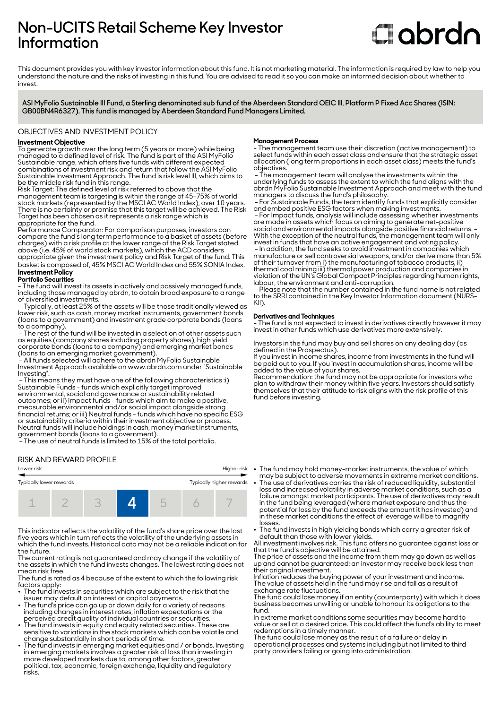## **Non-UCITS Retail Scheme Key Investor Information**

# **C**labrdn

This document provides you with key investor information about this fund. It is not marketing material. The information is required by law to help you understand the nature and the risks of investing in this fund. You are advised to read it so you can make an informed decision about whether to invest

**ASI MyFolio Sustainable III Fund, a Sterling denominated sub fund of the Aberdeen Standard OEIC III, Platform P Fixed Acc Shares (ISIN: GB00BN4R6327). This fund is managed by Aberdeen Standard Fund Managers Limited.**

#### OBJECTIVES AND INVESTMENT POLICY

#### **Investment Objective**

To generate growth over the long term (5 years or more) while being managed to a defined level of risk. The fund is part of the ASI MyFolio Sustainable range, which offers five funds with different expected combinations of investment risk and return that follow the ASI MyFolio Sustainable Investment Approach. The fund is risk level III, which aims to be the middle risk fund in this range.

Risk Target: The defined level of risk referred to above that the management team is targeting is within the range of 45-75% of world stock markets (represented by the MSCI AC World Index), over 10 years. There is no certainty or promise that this target will be achieved. The Risk Target has been chosen as it represents a risk range which is appropriate for the fund.

Performance Comparator: For comparison purposes, investors can compare the fund's long term performance to a basket of assets (before charges) with a risk profile at the lower range of the Risk Target stated above (i.e. 45% of world stock markets), which the ACD considers

appropriate given the investment policy and Risk Target of the fund. This basket is composed of, 45% MSCI AC World Index and 55% SONIA Index. **Investment Policy** 

#### **Portfolio Securities**

- The fund will invest its assets in actively and passively managed funds, including those managed by abrdn, to obtain broad exposure to a range of diversified investments.

 - Typically, at least 25% of the assets will be those traditionally viewed as lower risk, such as cash, money market instruments, government bonds (loans to a government) and investment grade corporate bonds (loans to a company).

 - The rest of the fund will be invested in a selection of other assets such as equities (company shares including property shares), high yield corporate bonds (loans to a company) and emerging market bonds (loans to an emerging market government).

 - All funds selected will adhere to the abrdn MyFolio Sustainable Investment Approach available on www.abrdn.com under "Sustainable Investing".

 - This means they must have one of the following characteristics :i) Sustainable Funds - funds which explicitly target improved environmental, social and governance or sustainability related outcomes; or ii) Impact funds - funds which aim to make a positive, measurable environmental and/or social impact alongside strong financial returns; or iii) Neutral funds - funds which have no specific ESG or sustainability criteria within their investment objective or process. Neutral funds will include holdings in cash, money market instruments, government bonds (loans to a government).

- The use of neutral funds is limited to 15% of the total portfolio.

#### RISK AND REWARD PROFILE

## Lower risk Higher risk Typically lower rewards Typically higher rewards 1 2 3 **4** 5 6 7

This indicator reflects the volatility of the fund's share price over the last five years which in turn reflects the volatility of the underlying assets in which the fund invests. Historical data may not be a reliable indication for the future.

The current rating is not guaranteed and may change if the volatility of the assets in which the fund invests changes. The lowest rating does not mean risk free.

The fund is rated as 4 because of the extent to which the following risk factors apply:

- The fund invests in securities which are subject to the risk that the
- issuer may default on interest or capital payments. 2 The fund's price can go up or down daily for a variety of reasons including changes in interest rates, inflation expectations or the perceived credit quality of individual countries or securities.
- $\bullet~$  The fund invests in equity and equity related securities. These are sensitive to variations in the stock markets which can be volatile and change substantially in short periods of time. 2 The fund invests in emerging market equities and / or bonds. Investing
- in emerging markets involves a greater risk of loss than investing in more developed markets due to, among other factors, greater political, tax, economic, foreign exchange, liquidity and regulatory risks.

#### **Management Process**

- The management team use their discretion (active management) to select funds within each asset class and ensure that the strategic asset allocation (long term proportions in each asset class) meets the fund's objectives.

 - The management team will analyse the investments within the underlying funds to assess the extent to which the fund aligns with the abrdn MyFolio Sustainable Investment Approach and meet with the fund managers to discuss the fund's philosophy.

 - For Sustainable Funds, the team identify funds that explicitly consider and embed positive ESG factors when making investments.

 - For Impact funds, analysis will include assessing whether investments are made in assets which focus on aiming to generate net-positive social and environmental impacts alongside positive financial returns. - With the exception of the neutral funds, the management team will only invest in funds that have an active engagement and voting policy. - In addition, the fund seeks to avoid investment in companies which manufacture or sell controversial weapons, and/or derive more than 5% of their turnover from i) the manufacturing of tobacco products, ii)

thermal coal mining iii) thermal power production and companies in violation of the UN's Global Compact Principles regarding human rights, labour, the environment and anti-corruption. - Please note that the number contained in the fund name is not related

to the SRRI contained in the Key Investor Information document (NURS-KII).

#### **Derivatives and Techniques**

- The fund is not expected to invest in derivatives directly however it may invest in other funds which use derivatives more extensively.

Investors in the fund may buy and sell shares on any dealing day (as defined in the Prospectus).

If you invest in income shares, income from investments in the fund will be paid out to you. If you invest in accumulation shares, income will be added to the value of your shares.

Recommendation: the fund may not be appropriate for investors who plan to withdraw their money within five years. Investors should satisfy themselves that their attitude to risk aligns with the risk profile of this fund before investing.

- The fund may hold money-market instruments, the value of which
- may be subject to adverse movements in extreme market conditions. 2 The use of derivatives carries the risk of reduced liquidity, substantial loss and increased volatility in adverse market conditions, such as a failure amongst market participants. The use of derivatives may result in the fund being leveraged (where market exposure and thus the potential for loss by the fund exceeds the amount it has invested) and in these market conditions the effect of leverage will be to magnify losses.
- The fund invests in high yielding bonds which carry a greater risk of default than those with lower yields.

All investment involves risk. This fund offers no guarantee against loss or that the fund's objective will be attained.

The price of assets and the income from them may go down as well as up and cannot be guaranteed; an investor may receive back less than their original investment.

Inflation reduces the buying power of your investment and income. The value of assets held in the fund may rise and fall as a result of exchange rate fluctuations.

The fund could lose money if an entity (counterparty) with which it does business becomes unwilling or unable to honour its obligations to the fund.

In extreme market conditions some securities may become hard to value or sell at a desired price. This could affect the fund's ability to meet redemptions in a timely manner.

The fund could lose money as the result of a failure or delay in operational processes and systems including but not limited to third party providers failing or going into administration.